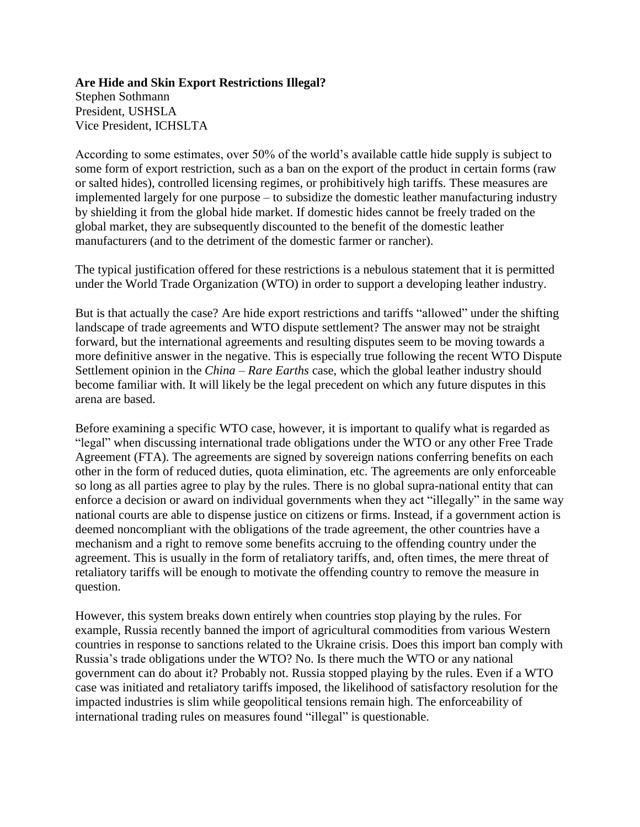**Are Hide and Skin Export Restrictions Illegal?** Stephen Sothmann President, USHSLA Vice President, ICHSLTA

According to some estimates, over 50% of the world's available cattle hide supply is subject to some form of export restriction, such as a ban on the export of the product in certain forms (raw or salted hides), controlled licensing regimes, or prohibitively high tariffs. These measures are implemented largely for one purpose – to subsidize the domestic leather manufacturing industry by shielding it from the global hide market. If domestic hides cannot be freely traded on the global market, they are subsequently discounted to the benefit of the domestic leather manufacturers (and to the detriment of the domestic farmer or rancher).

The typical justification offered for these restrictions is a nebulous statement that it is permitted under the World Trade Organization (WTO) in order to support a developing leather industry.

But is that actually the case? Are hide export restrictions and tariffs "allowed" under the shifting landscape of trade agreements and WTO dispute settlement? The answer may not be straight forward, but the international agreements and resulting disputes seem to be moving towards a more definitive answer in the negative. This is especially true following the recent WTO Dispute Settlement opinion in the *China – Rare Earths* case, which the global leather industry should become familiar with. It will likely be the legal precedent on which any future disputes in this arena are based.

Before examining a specific WTO case, however, it is important to qualify what is regarded as "legal" when discussing international trade obligations under the WTO or any other Free Trade Agreement (FTA). The agreements are signed by sovereign nations conferring benefits on each other in the form of reduced duties, quota elimination, etc. The agreements are only enforceable so long as all parties agree to play by the rules. There is no global supra-national entity that can enforce a decision or award on individual governments when they act "illegally" in the same way national courts are able to dispense justice on citizens or firms. Instead, if a government action is deemed noncompliant with the obligations of the trade agreement, the other countries have a mechanism and a right to remove some benefits accruing to the offending country under the agreement. This is usually in the form of retaliatory tariffs, and, often times, the mere threat of retaliatory tariffs will be enough to motivate the offending country to remove the measure in question.

However, this system breaks down entirely when countries stop playing by the rules. For example, Russia recently banned the import of agricultural commodities from various Western countries in response to sanctions related to the Ukraine crisis. Does this import ban comply with Russia's trade obligations under the WTO? No. Is there much the WTO or any national government can do about it? Probably not. Russia stopped playing by the rules. Even if a WTO case was initiated and retaliatory tariffs imposed, the likelihood of satisfactory resolution for the impacted industries is slim while geopolitical tensions remain high. The enforceability of international trading rules on measures found "illegal" is questionable.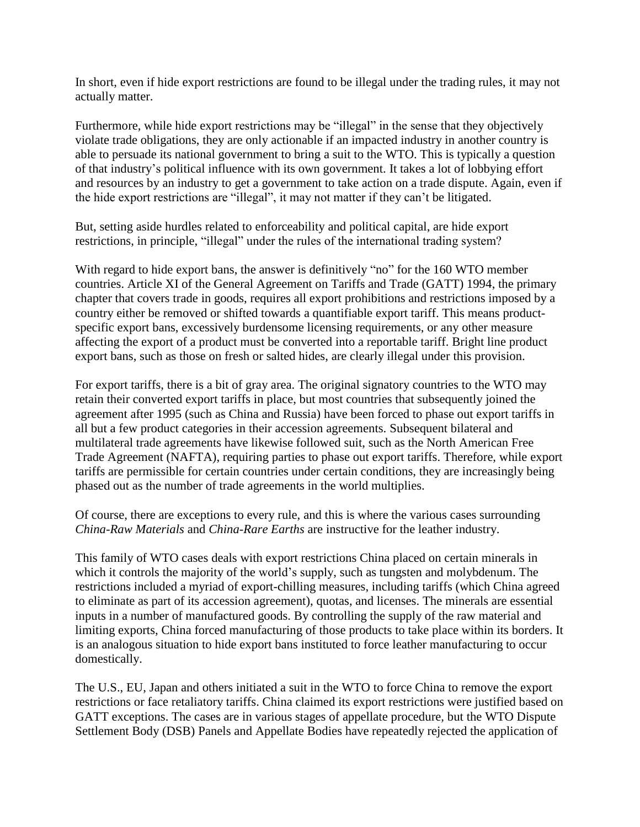In short, even if hide export restrictions are found to be illegal under the trading rules, it may not actually matter.

Furthermore, while hide export restrictions may be "illegal" in the sense that they objectively violate trade obligations, they are only actionable if an impacted industry in another country is able to persuade its national government to bring a suit to the WTO. This is typically a question of that industry's political influence with its own government. It takes a lot of lobbying effort and resources by an industry to get a government to take action on a trade dispute. Again, even if the hide export restrictions are "illegal", it may not matter if they can't be litigated.

But, setting aside hurdles related to enforceability and political capital, are hide export restrictions, in principle, "illegal" under the rules of the international trading system?

With regard to hide export bans, the answer is definitively "no" for the 160 WTO member countries. Article XI of the General Agreement on Tariffs and Trade (GATT) 1994, the primary chapter that covers trade in goods, requires all export prohibitions and restrictions imposed by a country either be removed or shifted towards a quantifiable export tariff. This means productspecific export bans, excessively burdensome licensing requirements, or any other measure affecting the export of a product must be converted into a reportable tariff. Bright line product export bans, such as those on fresh or salted hides, are clearly illegal under this provision.

For export tariffs, there is a bit of gray area. The original signatory countries to the WTO may retain their converted export tariffs in place, but most countries that subsequently joined the agreement after 1995 (such as China and Russia) have been forced to phase out export tariffs in all but a few product categories in their accession agreements. Subsequent bilateral and multilateral trade agreements have likewise followed suit, such as the North American Free Trade Agreement (NAFTA), requiring parties to phase out export tariffs. Therefore, while export tariffs are permissible for certain countries under certain conditions, they are increasingly being phased out as the number of trade agreements in the world multiplies.

Of course, there are exceptions to every rule, and this is where the various cases surrounding *China-Raw Materials* and *China-Rare Earths* are instructive for the leather industry.

This family of WTO cases deals with export restrictions China placed on certain minerals in which it controls the majority of the world's supply, such as tungsten and molybdenum. The restrictions included a myriad of export-chilling measures, including tariffs (which China agreed to eliminate as part of its accession agreement), quotas, and licenses. The minerals are essential inputs in a number of manufactured goods. By controlling the supply of the raw material and limiting exports, China forced manufacturing of those products to take place within its borders. It is an analogous situation to hide export bans instituted to force leather manufacturing to occur domestically.

The U.S., EU, Japan and others initiated a suit in the WTO to force China to remove the export restrictions or face retaliatory tariffs. China claimed its export restrictions were justified based on GATT exceptions. The cases are in various stages of appellate procedure, but the WTO Dispute Settlement Body (DSB) Panels and Appellate Bodies have repeatedly rejected the application of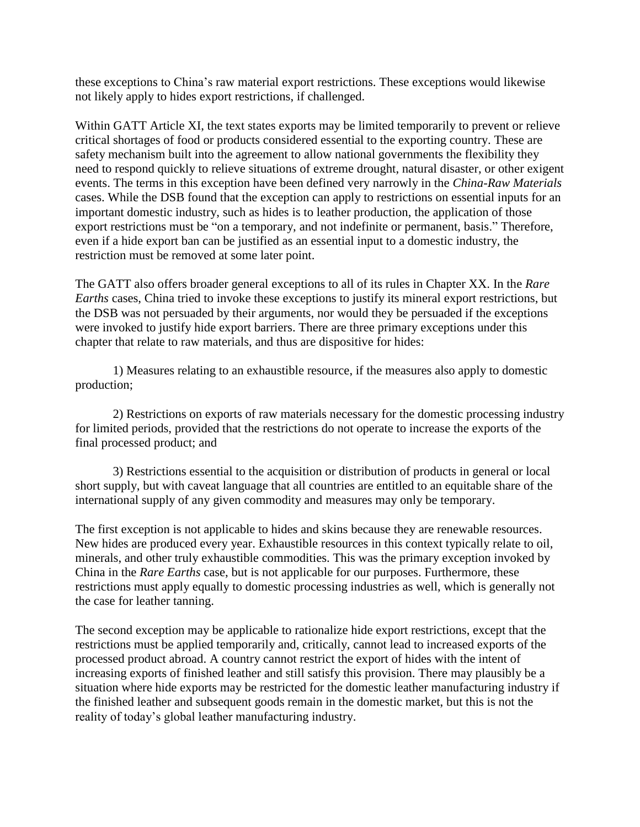these exceptions to China's raw material export restrictions. These exceptions would likewise not likely apply to hides export restrictions, if challenged.

Within GATT Article XI, the text states exports may be limited temporarily to prevent or relieve critical shortages of food or products considered essential to the exporting country. These are safety mechanism built into the agreement to allow national governments the flexibility they need to respond quickly to relieve situations of extreme drought, natural disaster, or other exigent events. The terms in this exception have been defined very narrowly in the *China-Raw Materials*  cases. While the DSB found that the exception can apply to restrictions on essential inputs for an important domestic industry, such as hides is to leather production, the application of those export restrictions must be "on a temporary, and not indefinite or permanent, basis." Therefore, even if a hide export ban can be justified as an essential input to a domestic industry, the restriction must be removed at some later point.

The GATT also offers broader general exceptions to all of its rules in Chapter XX. In the *Rare Earths* cases, China tried to invoke these exceptions to justify its mineral export restrictions, but the DSB was not persuaded by their arguments, nor would they be persuaded if the exceptions were invoked to justify hide export barriers. There are three primary exceptions under this chapter that relate to raw materials, and thus are dispositive for hides:

1) Measures relating to an exhaustible resource, if the measures also apply to domestic production;

2) Restrictions on exports of raw materials necessary for the domestic processing industry for limited periods, provided that the restrictions do not operate to increase the exports of the final processed product; and

3) Restrictions essential to the acquisition or distribution of products in general or local short supply, but with caveat language that all countries are entitled to an equitable share of the international supply of any given commodity and measures may only be temporary.

The first exception is not applicable to hides and skins because they are renewable resources. New hides are produced every year. Exhaustible resources in this context typically relate to oil, minerals, and other truly exhaustible commodities. This was the primary exception invoked by China in the *Rare Earths* case, but is not applicable for our purposes. Furthermore, these restrictions must apply equally to domestic processing industries as well, which is generally not the case for leather tanning.

The second exception may be applicable to rationalize hide export restrictions, except that the restrictions must be applied temporarily and, critically, cannot lead to increased exports of the processed product abroad. A country cannot restrict the export of hides with the intent of increasing exports of finished leather and still satisfy this provision. There may plausibly be a situation where hide exports may be restricted for the domestic leather manufacturing industry if the finished leather and subsequent goods remain in the domestic market, but this is not the reality of today's global leather manufacturing industry.